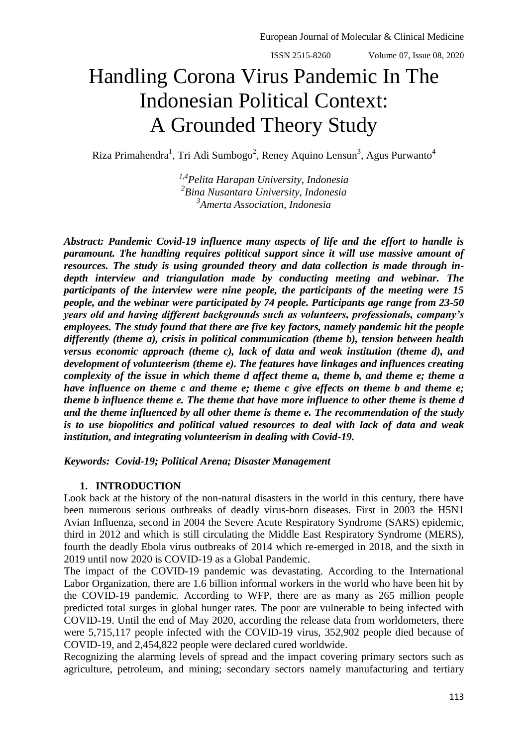# Handling Corona Virus Pandemic In The Indonesian Political Context: A Grounded Theory Study

Riza Primahendra<sup>1</sup>, Tri Adi Sumbogo<sup>2</sup>, Reney Aquino Lensun<sup>3</sup>, Agus Purwanto<sup>4</sup>

*1,4Pelita Harapan University, Indonesia 2 Bina Nusantara University, Indonesia 3 Amerta Association, Indonesia*

*Abstract: Pandemic Covid-19 influence many aspects of life and the effort to handle is paramount. The handling requires political support since it will use massive amount of resources. The study is using grounded theory and data collection is made through indepth interview and triangulation made by conducting meeting and webinar. The participants of the interview were nine people, the participants of the meeting were 15 people, and the webinar were participated by 74 people. Participants age range from 23-50 years old and having different backgrounds such as volunteers, professionals, company's employees. The study found that there are five key factors, namely pandemic hit the people differently (theme a), crisis in political communication (theme b), tension between health versus economic approach (theme c), lack of data and weak institution (theme d), and development of volunteerism (theme e). The features have linkages and influences creating complexity of the issue in which theme d affect theme a, theme b, and theme e; theme a have influence on theme c and theme e; theme c give effects on theme b and theme e; theme b influence theme e. The theme that have more influence to other theme is theme d and the theme influenced by all other theme is theme e. The recommendation of the study is to use biopolitics and political valued resources to deal with lack of data and weak institution, and integrating volunteerism in dealing with Covid-19.*

*Keywords: Covid-19; Political Arena; Disaster Management*

## **1. INTRODUCTION**

Look back at the history of the non-natural disasters in the world in this century, there have been numerous serious outbreaks of deadly virus-born diseases. First in 2003 the H5N1 Avian Influenza, second in 2004 the Severe Acute Respiratory Syndrome (SARS) epidemic, third in 2012 and which is still circulating the Middle East Respiratory Syndrome (MERS), fourth the deadly Ebola virus outbreaks of 2014 which re-emerged in 2018, and the sixth in 2019 until now 2020 is COVID-19 as a Global Pandemic.

The impact of the COVID-19 pandemic was devastating. According to the International Labor Organization, there are 1.6 billion informal workers in the world who have been hit by the COVID-19 pandemic. According to WFP, there are as many as 265 million people predicted total surges in global hunger rates. The poor are vulnerable to being infected with COVID-19. Until the end of May 2020, according the release data from worldometers, there were 5,715,117 people infected with the COVID-19 virus, 352,902 people died because of COVID-19, and 2,454,822 people were declared cured worldwide.

Recognizing the alarming levels of spread and the impact covering primary sectors such as agriculture, petroleum, and mining; secondary sectors namely manufacturing and tertiary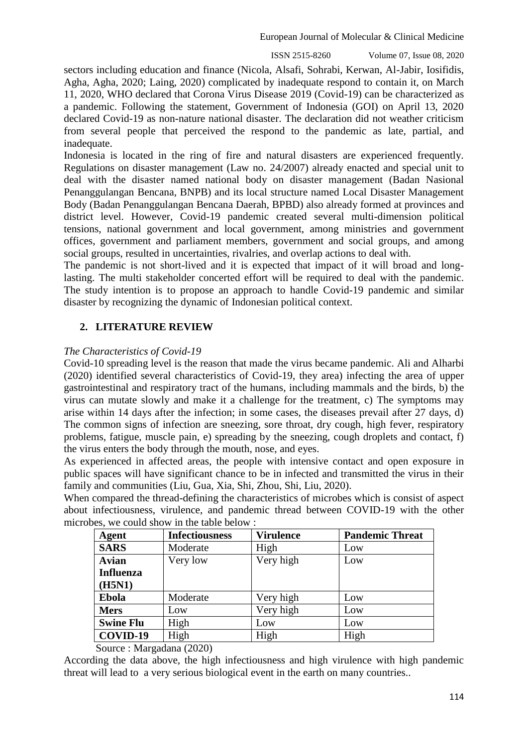ISSN 2515-8260 Volume 07, Issue 08, 2020

sectors including education and finance (Nicola, Alsafi, Sohrabi, Kerwan, Al-Jabir, Iosifidis, Agha, Agha, 2020; Laing, 2020) complicated by inadequate respond to contain it, on March 11, 2020, WHO declared that Corona Virus Disease 2019 (Covid-19) can be characterized as a pandemic. Following the statement, Government of Indonesia (GOI) on April 13, 2020 declared Covid-19 as non-nature national disaster. The declaration did not weather criticism from several people that perceived the respond to the pandemic as late, partial, and inadequate.

Indonesia is located in the ring of fire and natural disasters are experienced frequently. Regulations on disaster management (Law no. 24/2007) already enacted and special unit to deal with the disaster named national body on disaster management (Badan Nasional Penanggulangan Bencana, BNPB) and its local structure named Local Disaster Management Body (Badan Penanggulangan Bencana Daerah, BPBD) also already formed at provinces and district level. However, Covid-19 pandemic created several multi-dimension political tensions, national government and local government, among ministries and government offices, government and parliament members, government and social groups, and among social groups, resulted in uncertainties, rivalries, and overlap actions to deal with.

The pandemic is not short-lived and it is expected that impact of it will broad and longlasting. The multi stakeholder concerted effort will be required to deal with the pandemic. The study intention is to propose an approach to handle Covid-19 pandemic and similar disaster by recognizing the dynamic of Indonesian political context.

# **2. LITERATURE REVIEW**

#### *The Characteristics of Covid-19*

Covid-10 spreading level is the reason that made the virus became pandemic. Ali and Alharbi (2020) identified several characteristics of Covid-19, they area) infecting the area of upper gastrointestinal and respiratory tract of the humans, including mammals and the birds, b) the virus can mutate slowly and make it a challenge for the treatment, c) The symptoms may arise within 14 days after the infection; in some cases, the diseases prevail after 27 days, d) The common signs of infection are sneezing, sore throat, dry cough, high fever, respiratory problems, fatigue, muscle pain, e) spreading by the sneezing, cough droplets and contact, f) the virus enters the body through the mouth, nose, and eyes.

As experienced in affected areas, the people with intensive contact and open exposure in public spaces will have significant chance to be in infected and transmitted the virus in their family and communities (Liu, Gua, Xia, Shi, Zhou, Shi, Liu, 2020).

When compared the thread-defining the characteristics of microbes which is consist of aspect about infectiousness, virulence, and pandemic thread between COVID-19 with the other microbes, we could show in the table below :

| <b>Agent</b>     | <b>Infectiousness</b> | <b>Virulence</b> | <b>Pandemic Threat</b> |
|------------------|-----------------------|------------------|------------------------|
| <b>SARS</b>      | Moderate              | High             | Low                    |
| <b>Avian</b>     | Very low              | Very high        | Low                    |
| <b>Influenza</b> |                       |                  |                        |
| (H5N1)           |                       |                  |                        |
| <b>Ebola</b>     | Moderate              | Very high        | Low                    |
| <b>Mers</b>      | Low                   | Very high        | Low                    |
| <b>Swine Flu</b> | High                  | Low              | Low                    |
| COVID-19         | High                  | High             | High                   |

Source : Margadana (2020)

According the data above, the high infectiousness and high virulence with high pandemic threat will lead to a very serious biological event in the earth on many countries..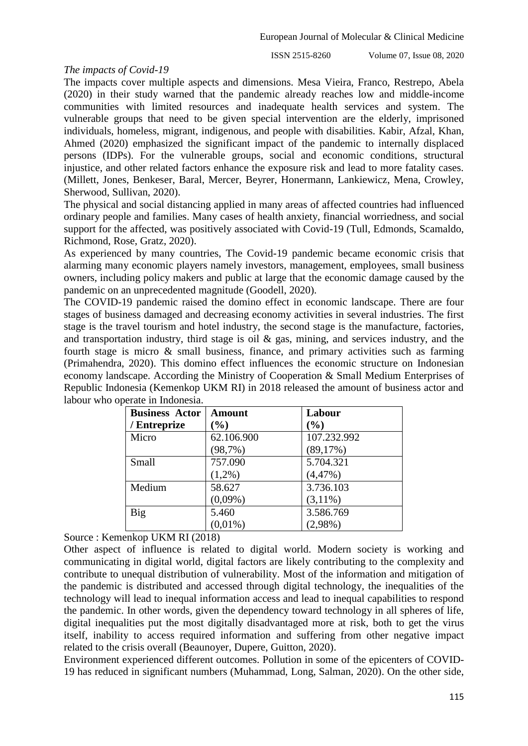#### *The impacts of Covid-19*

The impacts cover multiple aspects and dimensions. Mesa Vieira, Franco, Restrepo, Abela (2020) in their study warned that the pandemic already reaches low and middle-income communities with limited resources and inadequate health services and system. The vulnerable groups that need to be given special intervention are the elderly, imprisoned individuals, homeless, migrant, indigenous, and people with disabilities. Kabir, Afzal, Khan, Ahmed (2020) emphasized the significant impact of the pandemic to internally displaced persons (IDPs). For the vulnerable groups, social and economic conditions, structural injustice, and other related factors enhance the exposure risk and lead to more fatality cases. (Millett, Jones, Benkeser, Baral, Mercer, Beyrer, Honermann, Lankiewicz, Mena, Crowley, Sherwood, Sullivan, 2020).

The physical and social distancing applied in many areas of affected countries had influenced ordinary people and families. Many cases of health anxiety, financial worriedness, and social support for the affected, was positively associated with Covid-19 (Tull, Edmonds, Scamaldo, Richmond, Rose, Gratz, 2020).

As experienced by many countries, The Covid-19 pandemic became economic crisis that alarming many economic players namely investors, management, employees, small business owners, including policy makers and public at large that the economic damage caused by the pandemic on an unprecedented magnitude (Goodell, 2020).

The COVID-19 pandemic raised the domino effect in economic landscape. There are four stages of business damaged and decreasing economy activities in several industries. The first stage is the travel tourism and hotel industry, the second stage is the manufacture, factories, and transportation industry, third stage is oil & gas, mining, and services industry, and the fourth stage is micro & small business, finance, and primary activities such as farming (Primahendra, 2020). This domino effect influences the economic structure on Indonesian economy landscape. According the Ministry of Cooperation & Small Medium Enterprises of Republic Indonesia (Kemenkop UKM RI) in 2018 released the amount of business actor and labour who operate in Indonesia.

| <b>Business Actor</b> | Amount          | Labour      |
|-----------------------|-----------------|-------------|
| / Entreprize          | $\mathcal{O}_0$ | $(\%)$      |
| Micro                 | 62.106.900      | 107.232.992 |
|                       | (98,7%)         | (89,17%)    |
| Small                 | 757.090         | 5.704.321   |
|                       | $(1,2\%)$       | $(4,47\%)$  |
| Medium                | 58.627          | 3.736.103   |
|                       | $(0,09\%)$      | $(3,11\%)$  |
| Big                   | 5.460           | 3.586.769   |
|                       | $(0.01\%)$      | $(2,98\%)$  |

Source : Kemenkop UKM RI (2018)

Other aspect of influence is related to digital world. Modern society is working and communicating in digital world, digital factors are likely contributing to the complexity and contribute to unequal distribution of vulnerability. Most of the information and mitigation of the pandemic is distributed and accessed through digital technology, the inequalities of the technology will lead to inequal information access and lead to inequal capabilities to respond the pandemic. In other words, given the dependency toward technology in all spheres of life, digital inequalities put the most digitally disadvantaged more at risk, both to get the virus itself, inability to access required information and suffering from other negative impact related to the crisis overall (Beaunoyer, Dupere, Guitton, 2020).

Environment experienced different outcomes. Pollution in some of the epicenters of COVID-19 has reduced in significant numbers (Muhammad, Long, Salman, 2020). On the other side,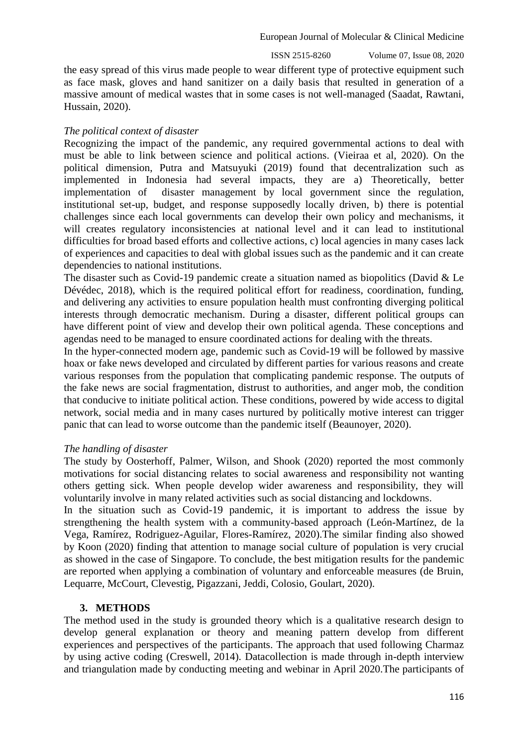ISSN 2515-8260 Volume 07, Issue 08, 2020

the easy spread of this virus made people to wear different type of protective equipment such as face mask, gloves and hand sanitizer on a daily basis that resulted in generation of a massive amount of medical wastes that in some cases is not well-managed (Saadat, Rawtani, Hussain, 2020).

## *The political context of disaster*

Recognizing the impact of the pandemic, any required governmental actions to deal with must be able to link between science and political actions. (Vieiraa et al, 2020). On the political dimension, Putra and Matsuyuki (2019) found that decentralization such as implemented in Indonesia had several impacts, they are a) Theoretically, better implementation of disaster management by local government since the regulation, institutional set-up, budget, and response supposedly locally driven, b) there is potential challenges since each local governments can develop their own policy and mechanisms, it will creates regulatory inconsistencies at national level and it can lead to institutional difficulties for broad based efforts and collective actions, c) local agencies in many cases lack of experiences and capacities to deal with global issues such as the pandemic and it can create dependencies to national institutions.

The disaster such as Covid-19 pandemic create a situation named as biopolitics (David & Le Dévédec, 2018), which is the required political effort for readiness, coordination, funding, and delivering any activities to ensure population health must confronting diverging political interests through democratic mechanism. During a disaster, different political groups can have different point of view and develop their own political agenda. These conceptions and agendas need to be managed to ensure coordinated actions for dealing with the threats.

In the hyper-connected modern age, pandemic such as Covid-19 will be followed by massive hoax or fake news developed and circulated by different parties for various reasons and create various responses from the population that complicating pandemic response. The outputs of the fake news are social fragmentation, distrust to authorities, and anger mob, the condition that conducive to initiate political action. These conditions, powered by wide access to digital network, social media and in many cases nurtured by politically motive interest can trigger panic that can lead to worse outcome than the pandemic itself (Beaunoyer, 2020).

## *The handling of disaster*

The study by Oosterhoff, Palmer, Wilson, and Shook (2020) reported the most commonly motivations for social distancing relates to social awareness and responsibility not wanting others getting sick. When people develop wider awareness and responsibility, they will voluntarily involve in many related activities such as social distancing and lockdowns.

In the situation such as Covid-19 pandemic, it is important to address the issue by strengthening the health system with a community-based approach (León-Martínez, de la Vega, Ramírez, Rodriguez-Aguilar, Flores-Ramírez, 2020).The similar finding also showed by Koon (2020) finding that attention to manage social culture of population is very crucial as showed in the case of Singapore. To conclude, the best mitigation results for the pandemic are reported when applying a combination of voluntary and enforceable measures (de Bruin, Lequarre, McCourt, Clevestig, Pigazzani, Jeddi, Colosio, Goulart, 2020).

## **3. METHODS**

The method used in the study is grounded theory which is a qualitative research design to develop general explanation or theory and meaning pattern develop from different experiences and perspectives of the participants. The approach that used following Charmaz by using active coding (Creswell, 2014). Datacollection is made through in-depth interview and triangulation made by conducting meeting and webinar in April 2020.The participants of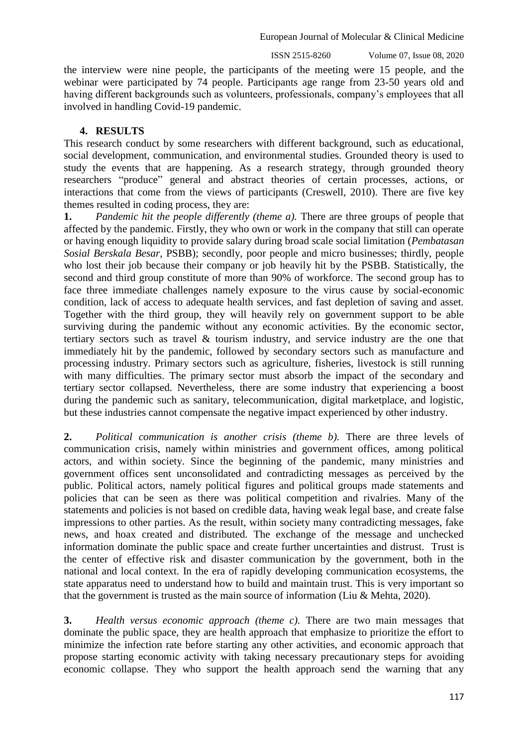ISSN 2515-8260 Volume 07, Issue 08, 2020

the interview were nine people, the participants of the meeting were 15 people, and the webinar were participated by 74 people. Participants age range from 23-50 years old and having different backgrounds such as volunteers, professionals, company's employees that all involved in handling Covid-19 pandemic.

# **4. RESULTS**

This research conduct by some researchers with different background, such as educational, social development, communication, and environmental studies. Grounded theory is used to study the events that are happening. As a research strategy, through grounded theory researchers "produce" general and abstract theories of certain processes, actions, or interactions that come from the views of participants (Creswell, 2010). There are five key themes resulted in coding process, they are:

**1.** *Pandemic hit the people differently (theme a).* There are three groups of people that affected by the pandemic. Firstly, they who own or work in the company that still can operate or having enough liquidity to provide salary during broad scale social limitation (*Pembatasan Sosial Berskala Besar*, PSBB); secondly, poor people and micro businesses; thirdly, people who lost their job because their company or job heavily hit by the PSBB. Statistically, the second and third group constitute of more than 90% of workforce. The second group has to face three immediate challenges namely exposure to the virus cause by social-economic condition, lack of access to adequate health services, and fast depletion of saving and asset. Together with the third group, they will heavily rely on government support to be able surviving during the pandemic without any economic activities. By the economic sector, tertiary sectors such as travel & tourism industry, and service industry are the one that immediately hit by the pandemic, followed by secondary sectors such as manufacture and processing industry. Primary sectors such as agriculture, fisheries, livestock is still running with many difficulties. The primary sector must absorb the impact of the secondary and tertiary sector collapsed. Nevertheless, there are some industry that experiencing a boost during the pandemic such as sanitary, telecommunication, digital marketplace, and logistic, but these industries cannot compensate the negative impact experienced by other industry.

**2.** *Political communication is another crisis (theme b).* There are three levels of communication crisis, namely within ministries and government offices, among political actors, and within society. Since the beginning of the pandemic, many ministries and government offices sent unconsolidated and contradicting messages as perceived by the public. Political actors, namely political figures and political groups made statements and policies that can be seen as there was political competition and rivalries. Many of the statements and policies is not based on credible data, having weak legal base, and create false impressions to other parties. As the result, within society many contradicting messages, fake news, and hoax created and distributed. The exchange of the message and unchecked information dominate the public space and create further uncertainties and distrust. Trust is the center of effective risk and disaster communication by the government, both in the national and local context. In the era of rapidly developing communication ecosystems, the state apparatus need to understand how to build and maintain trust. This is very important so that the government is trusted as the main source of information (Liu & Mehta, 2020).

**3.** *Health versus economic approach (theme c).* There are two main messages that dominate the public space, they are health approach that emphasize to prioritize the effort to minimize the infection rate before starting any other activities, and economic approach that propose starting economic activity with taking necessary precautionary steps for avoiding economic collapse. They who support the health approach send the warning that any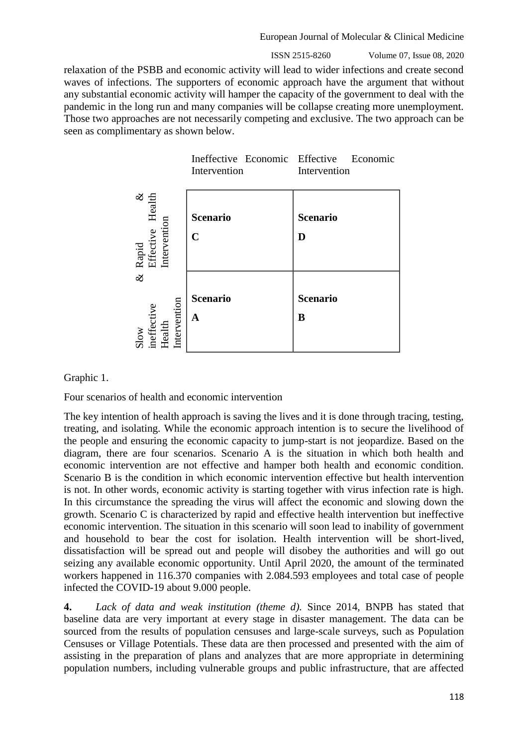ISSN 2515-8260 Volume 07, Issue 08, 2020

relaxation of the PSBB and economic activity will lead to wider infections and create second waves of infections. The supporters of economic approach have the argument that without any substantial economic activity will hamper the capacity of the government to deal with the pandemic in the long run and many companies will be collapse creating more unemployment. Those two approaches are not necessarily competing and exclusive. The two approach can be seen as complimentary as shown below.



#### Graphic 1.

Four scenarios of health and economic intervention

The key intention of health approach is saving the lives and it is done through tracing, testing, treating, and isolating. While the economic approach intention is to secure the livelihood of the people and ensuring the economic capacity to jump-start is not jeopardize. Based on the diagram, there are four scenarios. Scenario A is the situation in which both health and economic intervention are not effective and hamper both health and economic condition. Scenario B is the condition in which economic intervention effective but health intervention is not. In other words, economic activity is starting together with virus infection rate is high. In this circumstance the spreading the virus will affect the economic and slowing down the growth. Scenario C is characterized by rapid and effective health intervention but ineffective economic intervention. The situation in this scenario will soon lead to inability of government and household to bear the cost for isolation. Health intervention will be short-lived, dissatisfaction will be spread out and people will disobey the authorities and will go out seizing any available economic opportunity. Until April 2020, the amount of the terminated workers happened in 116.370 companies with 2.084.593 employees and total case of people infected the COVID-19 about 9.000 people.

**4.** *Lack of data and weak institution (theme d).* Since 2014, BNPB has stated that baseline data are very important at every stage in disaster management. The data can be sourced from the results of population censuses and large-scale surveys, such as Population Censuses or Village Potentials. These data are then processed and presented with the aim of assisting in the preparation of plans and analyzes that are more appropriate in determining population numbers, including vulnerable groups and public infrastructure, that are affected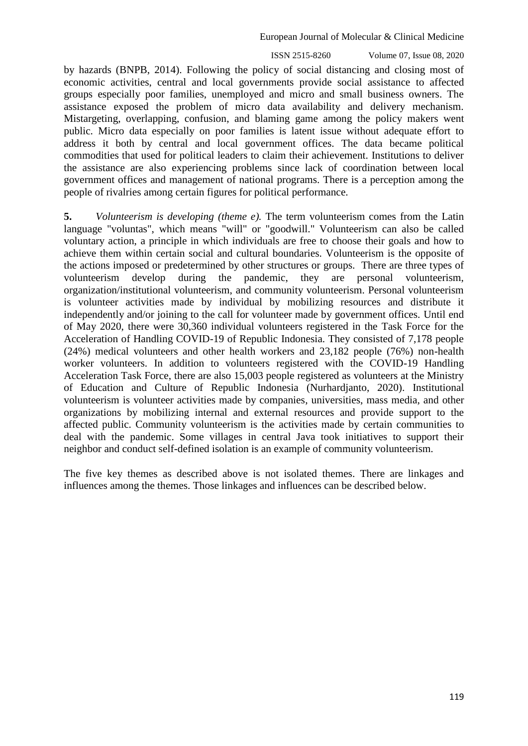ISSN 2515-8260 Volume 07, Issue 08, 2020

by hazards (BNPB, 2014). Following the policy of social distancing and closing most of economic activities, central and local governments provide social assistance to affected groups especially poor families, unemployed and micro and small business owners. The assistance exposed the problem of micro data availability and delivery mechanism. Mistargeting, overlapping, confusion, and blaming game among the policy makers went public. Micro data especially on poor families is latent issue without adequate effort to address it both by central and local government offices. The data became political commodities that used for political leaders to claim their achievement. Institutions to deliver the assistance are also experiencing problems since lack of coordination between local government offices and management of national programs. There is a perception among the people of rivalries among certain figures for political performance.

**5.** *Volunteerism is developing (theme e).* The term volunteerism comes from the Latin language "voluntas", which means "will" or "goodwill." Volunteerism can also be called voluntary action, a principle in which individuals are free to choose their goals and how to achieve them within certain social and cultural boundaries. Volunteerism is the opposite of the actions imposed or predetermined by other structures or groups. There are three types of volunteerism develop during the pandemic, they are personal volunteerism, organization/institutional volunteerism, and community volunteerism. Personal volunteerism is volunteer activities made by individual by mobilizing resources and distribute it independently and/or joining to the call for volunteer made by government offices. Until end of May 2020, there were 30,360 individual volunteers registered in the Task Force for the Acceleration of Handling COVID-19 of Republic Indonesia. They consisted of 7,178 people (24%) medical volunteers and other health workers and 23,182 people (76%) non-health worker volunteers. In addition to volunteers registered with the COVID-19 Handling Acceleration Task Force, there are also 15,003 people registered as volunteers at the Ministry of Education and Culture of Republic Indonesia (Nurhardjanto, 2020). Institutional volunteerism is volunteer activities made by companies, universities, mass media, and other organizations by mobilizing internal and external resources and provide support to the affected public. Community volunteerism is the activities made by certain communities to deal with the pandemic. Some villages in central Java took initiatives to support their neighbor and conduct self-defined isolation is an example of community volunteerism.

The five key themes as described above is not isolated themes. There are linkages and influences among the themes. Those linkages and influences can be described below.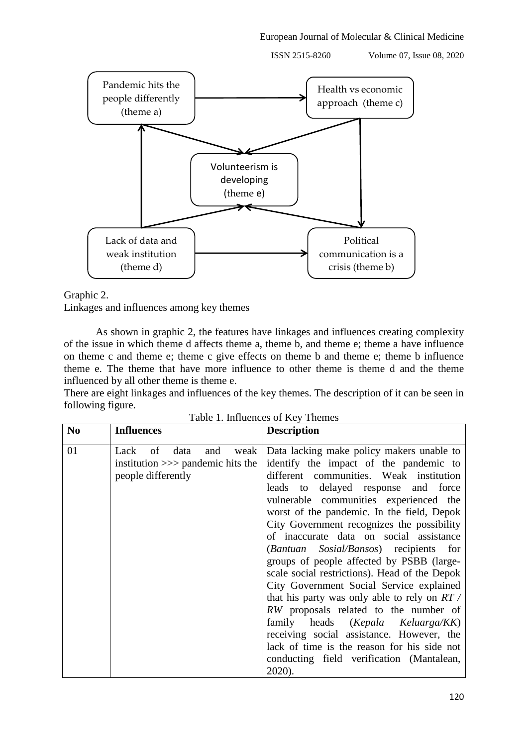ISSN 2515-8260 Volume 07, Issue 08, 2020





Linkages and influences among key themes

As shown in graphic 2, the features have linkages and influences creating complexity of the issue in which theme d affects theme a, theme b, and theme e; theme a have influence on theme c and theme e; theme c give effects on theme b and theme e; theme b influence theme e. The theme that have more influence to other theme is theme d and the theme influenced by all other theme is theme e.

There are eight linkages and influences of the key themes. The description of it can be seen in following figure.

| N <sub>0</sub> | <b>Influences</b>                                                                      | <b>Description</b>                                                                                                                                                                                                                                                                                                                                                                                                                                                                                                                                                                                                                                                                                                                                                                                                                  |
|----------------|----------------------------------------------------------------------------------------|-------------------------------------------------------------------------------------------------------------------------------------------------------------------------------------------------------------------------------------------------------------------------------------------------------------------------------------------------------------------------------------------------------------------------------------------------------------------------------------------------------------------------------------------------------------------------------------------------------------------------------------------------------------------------------------------------------------------------------------------------------------------------------------------------------------------------------------|
| 01             | of<br>and<br>Lack<br>data<br>institution $\gg$ pandemic hits the<br>people differently | weak   Data lacking make policy makers unable to<br>identify the impact of the pandemic to<br>different communities. Weak institution<br>leads to delayed response and force<br>vulnerable communities experienced the<br>worst of the pandemic. In the field, Depok<br>City Government recognizes the possibility<br>of inaccurate data on social assistance<br>(Bantuan Sosial/Bansos) recipients for<br>groups of people affected by PSBB (large-<br>scale social restrictions). Head of the Depok<br>City Government Social Service explained<br>that his party was only able to rely on $RT/$<br>RW proposals related to the number of<br>family heads (Kepala Keluarga/KK)<br>receiving social assistance. However, the<br>lack of time is the reason for his side not<br>conducting field verification (Mantalean,<br>2020). |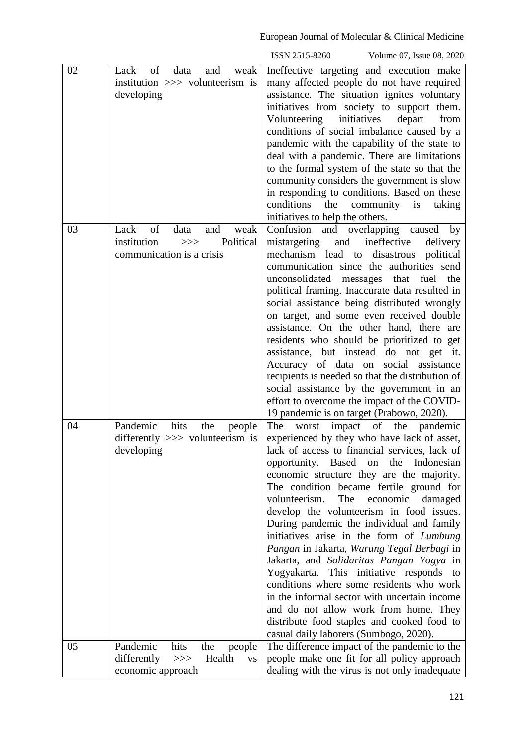|    |                                                                                                       | ISSN 2515-8260<br>Volume 07, Issue 08, 2020                                                                                                                                                                                                                                                                                                                                                                                                                                                                                                                                                                                                                                                                                                                                                                                              |
|----|-------------------------------------------------------------------------------------------------------|------------------------------------------------------------------------------------------------------------------------------------------------------------------------------------------------------------------------------------------------------------------------------------------------------------------------------------------------------------------------------------------------------------------------------------------------------------------------------------------------------------------------------------------------------------------------------------------------------------------------------------------------------------------------------------------------------------------------------------------------------------------------------------------------------------------------------------------|
| 02 | of<br>data<br>weak<br>Lack<br>and<br>institution >>> volunteerism is<br>developing                    | Ineffective targeting and execution make<br>many affected people do not have required<br>assistance. The situation ignites voluntary<br>initiatives from society to support them.<br>Volunteering initiatives<br>depart<br>from<br>conditions of social imbalance caused by a<br>pandemic with the capability of the state to<br>deal with a pandemic. There are limitations<br>to the formal system of the state so that the<br>community considers the government is slow<br>in responding to conditions. Based on these<br>the community is taking<br>conditions<br>initiatives to help the others.                                                                                                                                                                                                                                   |
| 03 | of<br>Lack<br>data<br>and<br>weak<br>Political<br>institution<br>>><br>communication is a crisis      | Confusion and overlapping caused by<br>and ineffective<br>mistargeting<br>delivery<br>mechanism lead to disastrous<br>political<br>communication since the authorities send<br>unconsolidated<br>messages that fuel the<br>political framing. Inaccurate data resulted in<br>social assistance being distributed wrongly<br>on target, and some even received double<br>assistance. On the other hand, there are<br>residents who should be prioritized to get<br>assistance, but instead do not get it.<br>Accuracy of data on social assistance<br>recipients is needed so that the distribution of<br>social assistance by the government in an<br>effort to overcome the impact of the COVID-<br>19 pandemic is on target (Prabowo, 2020).                                                                                           |
| 04 | Pandemic<br>hits<br>the<br>people<br>differently $\gg$ volunteerism is<br>developing                  | impact of the<br>The<br>pandemic<br>worst<br>experienced by they who have lack of asset,<br>lack of access to financial services, lack of<br>opportunity. Based<br>on<br>the<br>Indonesian<br>economic structure they are the majority.<br>The condition became fertile ground for<br>volunteerism.<br>The<br>economic<br>damaged<br>develop the volunteerism in food issues.<br>During pandemic the individual and family<br>initiatives arise in the form of Lumbung<br>Pangan in Jakarta, Warung Tegal Berbagi in<br>Jakarta, and Solidaritas Pangan Yogya in<br>Yogyakarta. This initiative responds to<br>conditions where some residents who work<br>in the informal sector with uncertain income<br>and do not allow work from home. They<br>distribute food staples and cooked food to<br>casual daily laborers (Sumbogo, 2020). |
| 05 | Pandemic<br>hits<br>the<br>people<br>differently<br>Health<br>$>>>$<br><b>VS</b><br>economic approach | The difference impact of the pandemic to the<br>people make one fit for all policy approach<br>dealing with the virus is not only inadequate                                                                                                                                                                                                                                                                                                                                                                                                                                                                                                                                                                                                                                                                                             |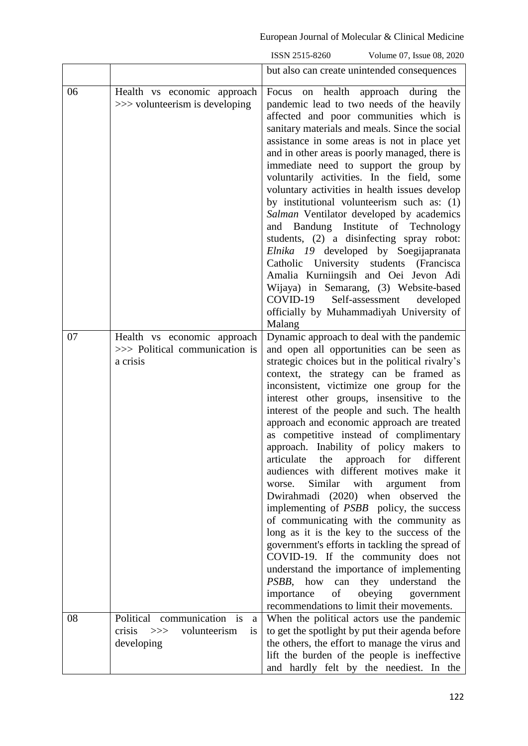|    |                                                                           | ISSN 2515-8260<br>Volume 07, Issue 08, 2020                                                                                                                                                                                                                                                                                                                                                                                                                                                                                                                                                                                                                                                                                                                                                                                                                                                                                                                                                                                                                |
|----|---------------------------------------------------------------------------|------------------------------------------------------------------------------------------------------------------------------------------------------------------------------------------------------------------------------------------------------------------------------------------------------------------------------------------------------------------------------------------------------------------------------------------------------------------------------------------------------------------------------------------------------------------------------------------------------------------------------------------------------------------------------------------------------------------------------------------------------------------------------------------------------------------------------------------------------------------------------------------------------------------------------------------------------------------------------------------------------------------------------------------------------------|
|    |                                                                           | but also can create unintended consequences                                                                                                                                                                                                                                                                                                                                                                                                                                                                                                                                                                                                                                                                                                                                                                                                                                                                                                                                                                                                                |
| 06 | Health vs economic approach<br>>>> volunteerism is developing             | on health approach during the<br>Focus<br>pandemic lead to two needs of the heavily<br>affected and poor communities which is<br>sanitary materials and meals. Since the social<br>assistance in some areas is not in place yet<br>and in other areas is poorly managed, there is<br>immediate need to support the group by<br>voluntarily activities. In the field, some<br>voluntary activities in health issues develop<br>by institutional volunteerism such as: (1)<br>Salman Ventilator developed by academics<br>and Bandung Institute of Technology<br>students, (2) a disinfecting spray robot:<br>Elnika 19 developed by Soegijapranata<br>Catholic University students (Francisca<br>Amalia Kurniingsih and Oei Jevon Adi<br>Wijaya) in Semarang, (3) Website-based<br>COVID-19<br>Self-assessment<br>developed<br>officially by Muhammadiyah University of<br>Malang                                                                                                                                                                           |
| 07 | Health vs economic approach<br>>>> Political communication is<br>a crisis | Dynamic approach to deal with the pandemic<br>and open all opportunities can be seen as<br>strategic choices but in the political rivalry's<br>context, the strategy can be framed as<br>inconsistent, victimize one group for the<br>interest other groups, insensitive to the<br>interest of the people and such. The health<br>approach and economic approach are treated<br>as competitive instead of complimentary<br>approach. Inability of policy makers to<br>articulate the approach for different<br>audiences with different motives make it<br>Similar<br>with<br>worse.<br>argument<br>from<br>Dwirahmadi (2020) when observed the<br>implementing of <i>PSBB</i> policy, the success<br>of communicating with the community as<br>long as it is the key to the success of the<br>government's efforts in tackling the spread of<br>COVID-19. If the community does not<br>understand the importance of implementing<br>PSBB, how can they understand<br>the<br>importance of obeying government<br>recommendations to limit their movements. |
| 08 | Political communication is<br>a<br>crisis $>>$ volunteerism<br>1S         | When the political actors use the pandemic<br>to get the spotlight by put their agenda before                                                                                                                                                                                                                                                                                                                                                                                                                                                                                                                                                                                                                                                                                                                                                                                                                                                                                                                                                              |
|    | developing                                                                | the others, the effort to manage the virus and<br>lift the burden of the people is ineffective<br>and hardly felt by the neediest. In the                                                                                                                                                                                                                                                                                                                                                                                                                                                                                                                                                                                                                                                                                                                                                                                                                                                                                                                  |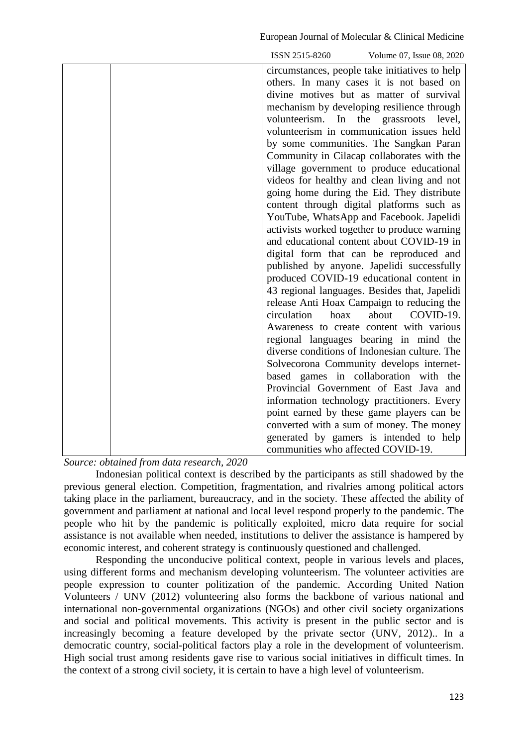|                                                                                | ISSN 2515-8260<br>Volume 07, Issue 08, 2020                                           |
|--------------------------------------------------------------------------------|---------------------------------------------------------------------------------------|
|                                                                                | circumstances, people take initiatives to help                                        |
|                                                                                | others. In many cases it is not based on                                              |
|                                                                                | divine motives but as matter of survival                                              |
|                                                                                | mechanism by developing resilience through                                            |
|                                                                                | volunteerism.<br>In<br>the<br>level,<br>grassroots                                    |
|                                                                                | volunteerism in communication issues held                                             |
|                                                                                | by some communities. The Sangkan Paran                                                |
|                                                                                | Community in Cilacap collaborates with the                                            |
|                                                                                | village government to produce educational                                             |
|                                                                                | videos for healthy and clean living and not                                           |
|                                                                                | going home during the Eid. They distribute                                            |
|                                                                                | content through digital platforms such as                                             |
|                                                                                | YouTube, WhatsApp and Facebook. Japelidi                                              |
|                                                                                | activists worked together to produce warning                                          |
|                                                                                | and educational content about COVID-19 in                                             |
|                                                                                | digital form that can be reproduced and                                               |
|                                                                                | published by anyone. Japelidi successfully                                            |
|                                                                                | produced COVID-19 educational content in                                              |
|                                                                                | 43 regional languages. Besides that, Japelidi                                         |
|                                                                                | release Anti Hoax Campaign to reducing the                                            |
|                                                                                | about<br>circulation<br>hoax<br>COVID-19.                                             |
|                                                                                | Awareness to create content with various                                              |
|                                                                                | regional languages bearing in mind the                                                |
|                                                                                | diverse conditions of Indonesian culture. The                                         |
|                                                                                | Solvecorona Community develops internet-                                              |
|                                                                                | based games in collaboration with the                                                 |
|                                                                                | Provincial Government of East Java and                                                |
|                                                                                | information technology practitioners. Every                                           |
|                                                                                | point earned by these game players can be<br>converted with a sum of money. The money |
|                                                                                |                                                                                       |
|                                                                                | generated by gamers is intended to help<br>communities who affected COVID-19.         |
| $\mathbf{1}$ $\mathbf{1}$<br>$\mathbf{1}$ $\mathbf{r}$<br>2020<br>$\mathbf{r}$ |                                                                                       |

*Source: obtained from data research, 2020*

Indonesian political context is described by the participants as still shadowed by the previous general election. Competition, fragmentation, and rivalries among political actors taking place in the parliament, bureaucracy, and in the society. These affected the ability of government and parliament at national and local level respond properly to the pandemic. The people who hit by the pandemic is politically exploited, micro data require for social assistance is not available when needed, institutions to deliver the assistance is hampered by economic interest, and coherent strategy is continuously questioned and challenged.

Responding the unconducive political context, people in various levels and places, using different forms and mechanism developing volunteerism. The volunteer activities are people expression to counter politization of the pandemic. According United Nation Volunteers / UNV (2012) volunteering also forms the backbone of various national and international non-governmental organizations (NGOs) and other civil society organizations and social and political movements. This activity is present in the public sector and is increasingly becoming a feature developed by the private sector (UNV, 2012).. In a democratic country, social-political factors play a role in the development of volunteerism. High social trust among residents gave rise to various social initiatives in difficult times. In the context of a strong civil society, it is certain to have a high level of volunteerism.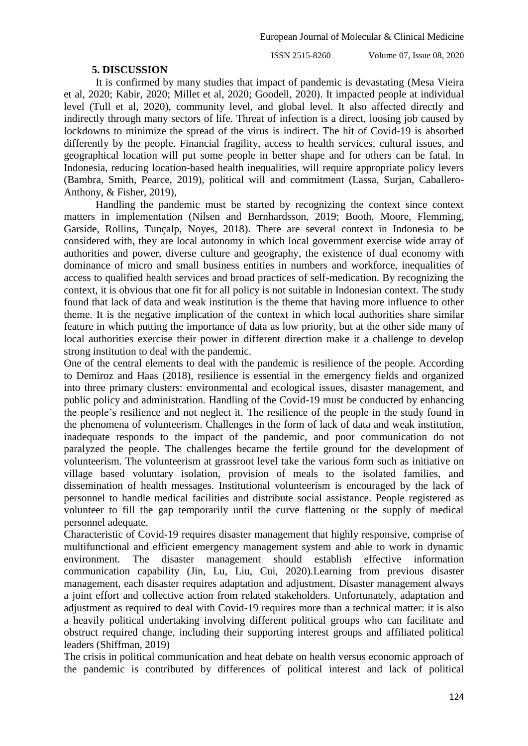#### **5. DISCUSSION**

It is confirmed by many studies that impact of pandemic is devastating (Mesa Vieira et al, 2020; Kabir, 2020; Millet et al, 2020; Goodell, 2020). It impacted people at individual level (Tull et al, 2020), community level, and global level. It also affected directly and indirectly through many sectors of life. Threat of infection is a direct, loosing job caused by lockdowns to minimize the spread of the virus is indirect. The hit of Covid-19 is absorbed differently by the people. Financial fragility, access to health services, cultural issues, and geographical location will put some people in better shape and for others can be fatal. In Indonesia, reducing location-based health inequalities, will require appropriate policy levers (Bambra, Smith, Pearce, 2019), political will and commitment (Lassa, Surjan, Caballero-Anthony, & Fisher, 2019),

Handling the pandemic must be started by recognizing the context since context matters in implementation (Nilsen and Bernhardsson, 2019; Booth, Moore, Flemming, Garside, Rollins, Tunçalp, Noyes, 2018). There are several context in Indonesia to be considered with, they are local autonomy in which local government exercise wide array of authorities and power, diverse culture and geography, the existence of dual economy with dominance of micro and small business entities in numbers and workforce, inequalities of access to qualified health services and broad practices of self-medication. By recognizing the context, it is obvious that one fit for all policy is not suitable in Indonesian context. The study found that lack of data and weak institution is the theme that having more influence to other theme. It is the negative implication of the context in which local authorities share similar feature in which putting the importance of data as low priority, but at the other side many of local authorities exercise their power in different direction make it a challenge to develop strong institution to deal with the pandemic.

One of the central elements to deal with the pandemic is resilience of the people. According to Demiroz and Haas (2018), resilience is essential in the emergency fields and organized into three primary clusters: environmental and ecological issues, disaster management, and public policy and administration. Handling of the Covid-19 must be conducted by enhancing the people's resilience and not neglect it. The resilience of the people in the study found in the phenomena of volunteerism. Challenges in the form of lack of data and weak institution, inadequate responds to the impact of the pandemic, and poor communication do not paralyzed the people. The challenges became the fertile ground for the development of volunteerism. The volunteerism at grassroot level take the various form such as initiative on village based voluntary isolation, provision of meals to the isolated families, and dissemination of health messages. Institutional volunteerism is encouraged by the lack of personnel to handle medical facilities and distribute social assistance. People registered as volunteer to fill the gap temporarily until the curve flattening or the supply of medical personnel adequate.

Characteristic of Covid-19 requires disaster management that highly responsive, comprise of multifunctional and efficient emergency management system and able to work in dynamic environment. The disaster management should establish effective information communication capability (Jin, Lu, Liu, Cui, 2020).Learning from previous disaster management, each disaster requires adaptation and adjustment. Disaster management always a joint effort and collective action from related stakeholders. Unfortunately, adaptation and adjustment as required to deal with Covid-19 requires more than a technical matter: it is also a heavily political undertaking involving different political groups who can facilitate and obstruct required change, including their supporting interest groups and affiliated political leaders (Shiffman, 2019)

The crisis in political communication and heat debate on health versus economic approach of the pandemic is contributed by differences of political interest and lack of political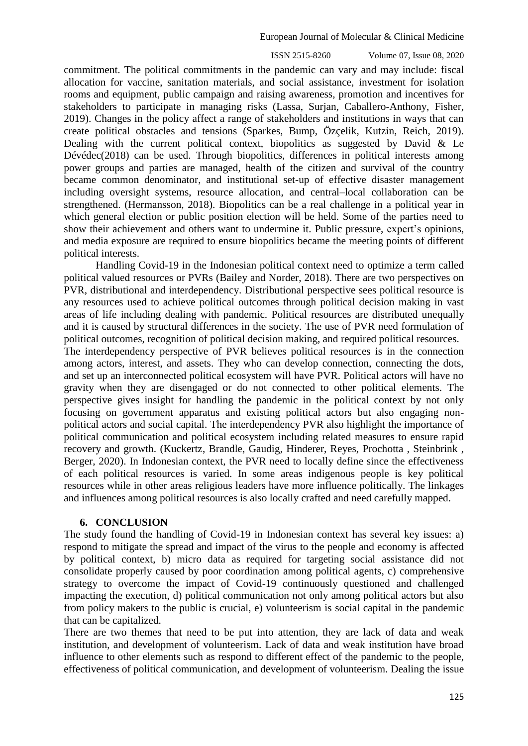ISSN 2515-8260 Volume 07, Issue 08, 2020

commitment. The political commitments in the pandemic can vary and may include: fiscal allocation for vaccine, sanitation materials, and social assistance, investment for isolation rooms and equipment, public campaign and raising awareness, promotion and incentives for stakeholders to participate in managing risks (Lassa, Surjan, Caballero-Anthony, Fisher, 2019). Changes in the policy affect a range of stakeholders and institutions in ways that can create political obstacles and tensions (Sparkes, Bump, Özçelik, Kutzin, Reich, 2019). Dealing with the current political context, biopolitics as suggested by David  $\&$  Le Dévédec(2018) can be used. Through biopolitics, differences in political interests among power groups and parties are managed, health of the citizen and survival of the country became common denominator, and institutional set-up of effective disaster management including oversight systems, resource allocation, and central–local collaboration can be strengthened. (Hermansson, 2018). Biopolitics can be a real challenge in a political year in which general election or public position election will be held. Some of the parties need to show their achievement and others want to undermine it. Public pressure, expert's opinions, and media exposure are required to ensure biopolitics became the meeting points of different political interests.

Handling Covid-19 in the Indonesian political context need to optimize a term called political valued resources or PVRs (Bailey and Norder, 2018). There are two perspectives on PVR, distributional and interdependency. Distributional perspective sees political resource is any resources used to achieve political outcomes through political decision making in vast areas of life including dealing with pandemic. Political resources are distributed unequally and it is caused by structural differences in the society. The use of PVR need formulation of political outcomes, recognition of political decision making, and required political resources. The interdependency perspective of PVR believes political resources is in the connection among actors, interest, and assets. They who can develop connection, connecting the dots, and set up an interconnected political ecosystem will have PVR. Political actors will have no gravity when they are disengaged or do not connected to other political elements. The perspective gives insight for handling the pandemic in the political context by not only focusing on government apparatus and existing political actors but also engaging nonpolitical actors and social capital. The interdependency PVR also highlight the importance of political communication and political ecosystem including related measures to ensure rapid recovery and growth. (Kuckertz, Brandle, Gaudig, Hinderer, Reyes, Prochotta , Steinbrink , Berger, 2020). In Indonesian context, the PVR need to locally define since the effectiveness of each political resources is varied. In some areas indigenous people is key political resources while in other areas religious leaders have more influence politically. The linkages and influences among political resources is also locally crafted and need carefully mapped.

#### **6. CONCLUSION**

The study found the handling of Covid-19 in Indonesian context has several key issues: a) respond to mitigate the spread and impact of the virus to the people and economy is affected by political context, b) micro data as required for targeting social assistance did not consolidate properly caused by poor coordination among political agents, c) comprehensive strategy to overcome the impact of Covid-19 continuously questioned and challenged impacting the execution, d) political communication not only among political actors but also from policy makers to the public is crucial, e) volunteerism is social capital in the pandemic that can be capitalized.

There are two themes that need to be put into attention, they are lack of data and weak institution, and development of volunteerism. Lack of data and weak institution have broad influence to other elements such as respond to different effect of the pandemic to the people, effectiveness of political communication, and development of volunteerism. Dealing the issue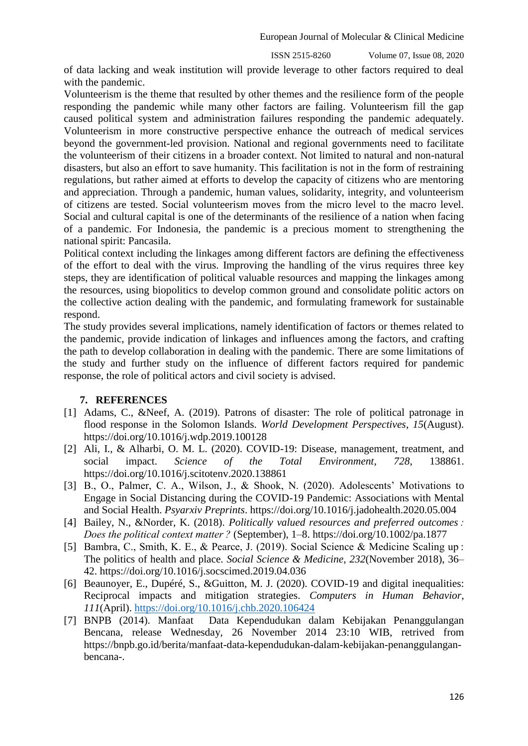of data lacking and weak institution will provide leverage to other factors required to deal with the pandemic.

Volunteerism is the theme that resulted by other themes and the resilience form of the people responding the pandemic while many other factors are failing. Volunteerism fill the gap caused political system and administration failures responding the pandemic adequately. Volunteerism in more constructive perspective enhance the outreach of medical services beyond the government-led provision. National and regional governments need to facilitate the volunteerism of their citizens in a broader context. Not limited to natural and non-natural disasters, but also an effort to save humanity. This facilitation is not in the form of restraining regulations, but rather aimed at efforts to develop the capacity of citizens who are mentoring and appreciation. Through a pandemic, human values, solidarity, integrity, and volunteerism of citizens are tested. Social volunteerism moves from the micro level to the macro level. Social and cultural capital is one of the determinants of the resilience of a nation when facing of a pandemic. For Indonesia, the pandemic is a precious moment to strengthening the national spirit: Pancasila.

Political context including the linkages among different factors are defining the effectiveness of the effort to deal with the virus. Improving the handling of the virus requires three key steps, they are identification of political valuable resources and mapping the linkages among the resources, using biopolitics to develop common ground and consolidate politic actors on the collective action dealing with the pandemic, and formulating framework for sustainable respond.

The study provides several implications, namely identification of factors or themes related to the pandemic, provide indication of linkages and influences among the factors, and crafting the path to develop collaboration in dealing with the pandemic. There are some limitations of the study and further study on the influence of different factors required for pandemic response, the role of political actors and civil society is advised.

## **7. REFERENCES**

- [1] Adams, C., &Neef, A. (2019). Patrons of disaster: The role of political patronage in flood response in the Solomon Islands. *World Development Perspectives*, *15*(August). https://doi.org/10.1016/j.wdp.2019.100128
- [2] Ali, I., & Alharbi, O. M. L. (2020). COVID-19: Disease, management, treatment, and social impact. *Science of the Total Environment*, *728*, 138861. https://doi.org/10.1016/j.scitotenv.2020.138861
- [3] B., O., Palmer, C. A., Wilson, J., & Shook, N. (2020). Adolescents' Motivations to Engage in Social Distancing during the COVID-19 Pandemic: Associations with Mental and Social Health. *Psyarxiv Preprints*. https://doi.org/10.1016/j.jadohealth.2020.05.004
- [4] Bailey, N., &Norder, K. (2018). *Politically valued resources and preferred outcomes : Does the political context matter ?* (September), 1–8. https://doi.org/10.1002/pa.1877
- [5] Bambra, C., Smith, K. E., & Pearce, J. (2019). Social Science & Medicine Scaling up : The politics of health and place. *Social Science & Medicine*, *232*(November 2018), 36– 42. https://doi.org/10.1016/j.socscimed.2019.04.036
- [6] Beaunoyer, E., Dupéré, S., &Guitton, M. J. (2020). COVID-19 and digital inequalities: Reciprocal impacts and mitigation strategies. *Computers in Human Behavior*, *111*(April).<https://doi.org/10.1016/j.chb.2020.106424>
- [7] BNPB (2014). Manfaat Data Kependudukan dalam Kebijakan Penanggulangan Bencana, release Wednesday, 26 November 2014 23:10 WIB, retrived from [https://bnpb.go.id/berita/manfaat-data-kependudukan-dalam-kebijakan-penanggulangan](https://bnpb.go.id/berita/manfaat-data-kependudukan-dalam-kebijakan-penanggulangan-bencana-)[bencana-.](https://bnpb.go.id/berita/manfaat-data-kependudukan-dalam-kebijakan-penanggulangan-bencana-)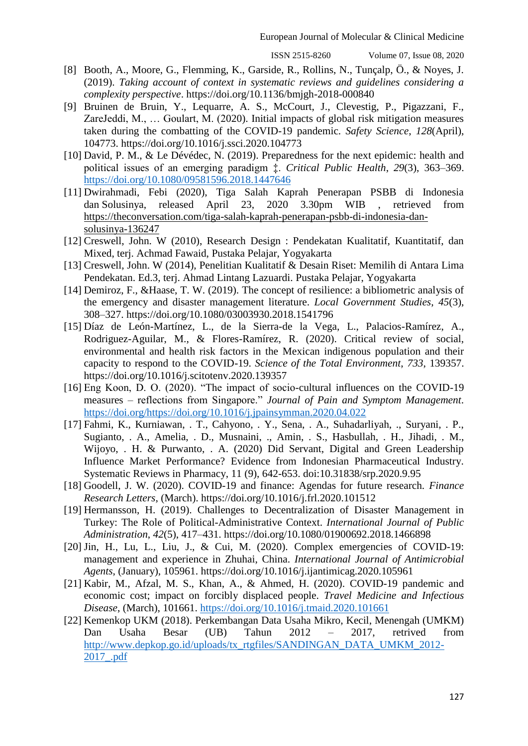- [8] Booth, A., Moore, G., Flemming, K., Garside, R., Rollins, N., Tunçalp, Ö., & Noyes, J. (2019). *Taking account of context in systematic reviews and guidelines considering a complexity perspective*. https://doi.org/10.1136/bmjgh-2018-000840
- [9] Bruinen de Bruin, Y., Lequarre, A. S., McCourt, J., Clevestig, P., Pigazzani, F., ZareJeddi, M., … Goulart, M. (2020). Initial impacts of global risk mitigation measures taken during the combatting of the COVID-19 pandemic. *Safety Science*, *128*(April), 104773. https://doi.org/10.1016/j.ssci.2020.104773
- [10] David, P. M., & Le Dévédec, N. (2019). Preparedness for the next epidemic: health and political issues of an emerging paradigm ‡. *Critical Public Health*, *29*(3), 363–369. <https://doi.org/10.1080/09581596.2018.1447646>
- [11] Dwirahmadi, Febi (2020), Tiga Salah Kaprah Penerapan PSBB di Indonesia dan Solusinya, released April 23, 2020 3.30pm WIB [,](https://theconversation.com/profiles/febi-dwirahmadi-787128) retrieved from [https://theconversation.com/tiga-salah-kaprah-penerapan-psbb-di-indonesia-dan](https://theconversation.com/tiga-salah-kaprah-penerapan-psbb-di-indonesia-dan-solusinya-136247)[solusinya-136247](https://theconversation.com/tiga-salah-kaprah-penerapan-psbb-di-indonesia-dan-solusinya-136247)
- [12] Creswell, John. W (2010), Research Design : Pendekatan Kualitatif, Kuantitatif, dan Mixed, terj. Achmad Fawaid, Pustaka Pelajar, Yogyakarta
- [13] Creswell, John. W (2014), Penelitian Kualitatif & Desain Riset: Memilih di Antara Lima Pendekatan. Ed.3, terj. Ahmad Lintang Lazuardi. Pustaka Pelajar, Yogyakarta
- [14] Demiroz, F., &Haase, T. W. (2019). The concept of resilience: a bibliometric analysis of the emergency and disaster management literature. *Local Government Studies*, *45*(3), 308–327. https://doi.org/10.1080/03003930.2018.1541796
- [15] Díaz de León-Martínez, L., de la Sierra-de la Vega, L., Palacios-Ramírez, A., Rodriguez-Aguilar, M., & Flores-Ramírez, R. (2020). Critical review of social, environmental and health risk factors in the Mexican indigenous population and their capacity to respond to the COVID-19. *Science of the Total Environment*, *733*, 139357. https://doi.org/10.1016/j.scitotenv.2020.139357
- [16] Eng Koon, D. O. (2020). "The impact of socio-cultural influences on the COVID-19 measures – reflections from Singapore." *Journal of Pain and Symptom Management*. [https://doi.org/https://doi.org/10.1016/j.jpainsymman.2020.04.022](https://doi.org/https:/doi.org/10.1016/j.jpainsymman.2020.04.022)
- [17] Fahmi, K., Kurniawan, . T., Cahyono, . Y., Sena, . A., Suhadarliyah, ., Suryani, . P., Sugianto, . A., Amelia, . D., Musnaini, ., Amin, . S., Hasbullah, . H., Jihadi, . M., Wijoyo, . H. & Purwanto, . A. (2020) Did Servant, Digital and Green Leadership Influence Market Performance? Evidence from Indonesian Pharmaceutical Industry. Systematic Reviews in Pharmacy, 11 (9), 642-653. doi:10.31838/srp.2020.9.95
- [18] Goodell, J. W. (2020). COVID-19 and finance: Agendas for future research. *Finance Research Letters*, (March). https://doi.org/10.1016/j.frl.2020.101512
- [19] Hermansson, H. (2019). Challenges to Decentralization of Disaster Management in Turkey: The Role of Political-Administrative Context. *International Journal of Public Administration*, *42*(5), 417–431. https://doi.org/10.1080/01900692.2018.1466898
- [20] Jin, H., Lu, L., Liu, J., & Cui, M. (2020). Complex emergencies of COVID-19: management and experience in Zhuhai, China. *International Journal of Antimicrobial Agents*, (January), 105961. https://doi.org/10.1016/j.ijantimicag.2020.105961
- [21] Kabir, M., Afzal, M. S., Khan, A., & Ahmed, H. (2020). COVID-19 pandemic and economic cost; impact on forcibly displaced people. *Travel Medicine and Infectious Disease*, (March), 101661.<https://doi.org/10.1016/j.tmaid.2020.101661>
- [22] Kemenkop UKM (2018). Perkembangan Data Usaha Mikro, Kecil, Menengah (UMKM) Dan Usaha Besar (UB) Tahun 2012 – 2017, retrived from [http://www.depkop.go.id/uploads/tx\\_rtgfiles/SANDINGAN\\_DATA\\_UMKM\\_2012-](http://www.depkop.go.id/uploads/tx_rtgfiles/SANDINGAN_DATA_UMKM_2012-2017_.pdf) [2017\\_.pdf](http://www.depkop.go.id/uploads/tx_rtgfiles/SANDINGAN_DATA_UMKM_2012-2017_.pdf)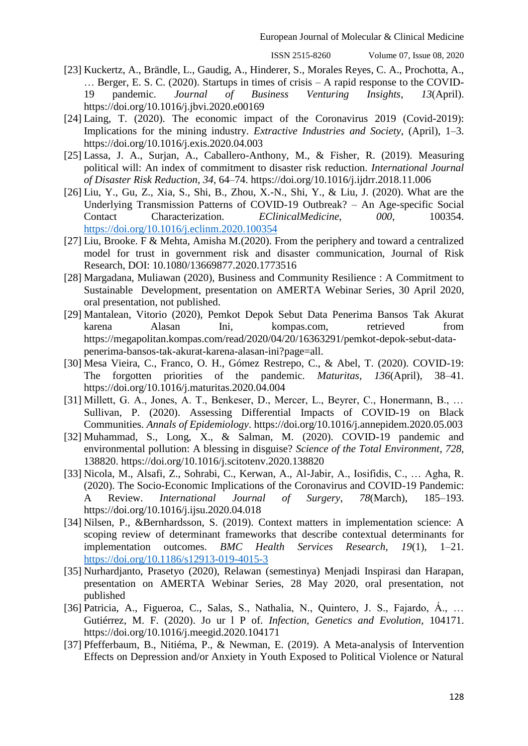- [23] Kuckertz, A., Brändle, L., Gaudig, A., Hinderer, S., Morales Reyes, C. A., Prochotta, A., … Berger, E. S. C. (2020). Startups in times of crisis – A rapid response to the COVID-19 pandemic. *Journal of Business Venturing Insights*, *13*(April). https://doi.org/10.1016/j.jbvi.2020.e00169
- [24] Laing, T. (2020). The economic impact of the Coronavirus 2019 (Covid-2019): Implications for the mining industry. *Extractive Industries and Society*, (April), 1–3. https://doi.org/10.1016/j.exis.2020.04.003
- [25] Lassa, J. A., Surjan, A., Caballero-Anthony, M., & Fisher, R. (2019). Measuring political will: An index of commitment to disaster risk reduction. *International Journal of Disaster Risk Reduction*, *34*, 64–74. https://doi.org/10.1016/j.ijdrr.2018.11.006
- [26] Liu, Y., Gu, Z., Xia, S., Shi, B., Zhou, X.-N., Shi, Y., & Liu, J. (2020). What are the Underlying Transmission Patterns of COVID-19 Outbreak? – An Age-specific Social Contact Characterization. *EClinicalMedicine*, *000*, 100354. <https://doi.org/10.1016/j.eclinm.2020.100354>
- [27] Liu, Brooke. F & Mehta, Amisha M.(2020). From the periphery and toward a centralized model for trust in government risk and disaster communication, Journal of Risk Research, DOI: 10.1080/13669877.2020.1773516
- [28] Margadana, Muliawan (2020), Business and Community Resilience : A Commitment to Sustainable Development, presentation on AMERTA Webinar Series, 30 April 2020, oral presentation, not published.
- [29] Mantalean, Vitorio (2020), Pemkot Depok Sebut Data Penerima Bansos Tak Akurat karena Alasan Ini, kompas.com, retrieved from https://megapolitan.kompas.com/read/2020/04/20/16363291/pemkot-depok-sebut-datapenerima-bansos-tak-akurat-karena-alasan-ini?page=all.
- [30] Mesa Vieira, C., Franco, O. H., Gómez Restrepo, C., & Abel, T. (2020). COVID-19: The forgotten priorities of the pandemic. *Maturitas*, *136*(April), 38–41. https://doi.org/10.1016/j.maturitas.2020.04.004
- [31] Millett, G. A., Jones, A. T., Benkeser, D., Mercer, L., Beyrer, C., Honermann, B., … Sullivan, P. (2020). Assessing Differential Impacts of COVID-19 on Black Communities. *Annals of Epidemiology*. https://doi.org/10.1016/j.annepidem.2020.05.003
- [32] Muhammad, S., Long, X., & Salman, M. (2020). COVID-19 pandemic and environmental pollution: A blessing in disguise? *Science of the Total Environment*, *728*, 138820. https://doi.org/10.1016/j.scitotenv.2020.138820
- [33] Nicola, M., Alsafi, Z., Sohrabi, C., Kerwan, A., Al-Jabir, A., Iosifidis, C., … Agha, R. (2020). The Socio-Economic Implications of the Coronavirus and COVID-19 Pandemic: A Review. *International Journal of Surgery*, *78*(March), 185–193. https://doi.org/10.1016/j.ijsu.2020.04.018
- [34] Nilsen, P., &Bernhardsson, S. (2019). Context matters in implementation science: A scoping review of determinant frameworks that describe contextual determinants for implementation outcomes. *BMC Health Services Research*, *19*(1), 1–21. <https://doi.org/10.1186/s12913-019-4015-3>
- [35] Nurhardjanto, Prasetyo (2020), Relawan (semestinya) Menjadi Inspirasi dan Harapan, presentation on AMERTA Webinar Series, 28 May 2020, oral presentation, not published
- [36] Patricia, A., Figueroa, C., Salas, S., Nathalia, N., Quintero, J. S., Fajardo, Á., … Gutiérrez, M. F. (2020). Jo ur l P of. *Infection, Genetics and Evolution*, 104171. https://doi.org/10.1016/j.meegid.2020.104171
- [37] Pfefferbaum, B., Nitiéma, P., & Newman, E. (2019). A Meta-analysis of Intervention Effects on Depression and/or Anxiety in Youth Exposed to Political Violence or Natural